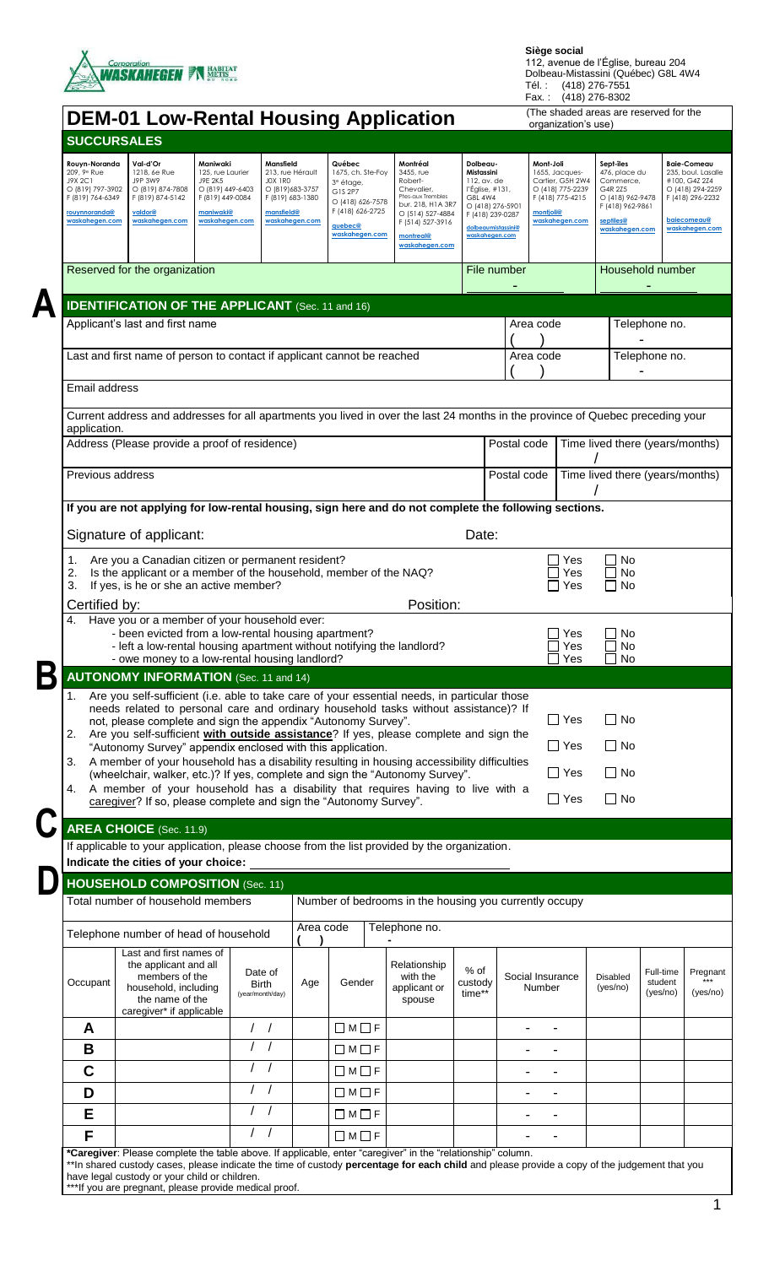

Tél. : (418) 276-7551 Fax. : (418) 276-8302

┑

|                                                                                                                                | <b>DEM-01 Low-Rental Housing Application</b>                                                                                                                                                                                                                                                                                                                                                                                                                                                                                                                                                                                                          |                                                                                                                       |                                                                                                                  |                                                                                                                                      |                                                                                                                                                                 |                                                                                                                                                     |                            | organization's use)                                                                                                    |                                                                                                                           |                                  |                                                                                                                                           |
|--------------------------------------------------------------------------------------------------------------------------------|-------------------------------------------------------------------------------------------------------------------------------------------------------------------------------------------------------------------------------------------------------------------------------------------------------------------------------------------------------------------------------------------------------------------------------------------------------------------------------------------------------------------------------------------------------------------------------------------------------------------------------------------------------|-----------------------------------------------------------------------------------------------------------------------|------------------------------------------------------------------------------------------------------------------|--------------------------------------------------------------------------------------------------------------------------------------|-----------------------------------------------------------------------------------------------------------------------------------------------------------------|-----------------------------------------------------------------------------------------------------------------------------------------------------|----------------------------|------------------------------------------------------------------------------------------------------------------------|---------------------------------------------------------------------------------------------------------------------------|----------------------------------|-------------------------------------------------------------------------------------------------------------------------------------------|
| <b>SUCCURSALES</b>                                                                                                             |                                                                                                                                                                                                                                                                                                                                                                                                                                                                                                                                                                                                                                                       |                                                                                                                       |                                                                                                                  |                                                                                                                                      |                                                                                                                                                                 |                                                                                                                                                     |                            |                                                                                                                        |                                                                                                                           |                                  |                                                                                                                                           |
| Rouyn-Noranda<br>209, 9 <sup>e</sup> Rue<br>J9X 2C1<br>O (819) 797-3902<br>F (819) 764-6349<br>rouynnoranda@<br>waskahegen.com | Val-d'Or<br>1218, 6e Rue<br>J9P 3W9<br>O (819) 874-7808<br>F (819) 874-5142<br>valdor@<br>waskahegen.com                                                                                                                                                                                                                                                                                                                                                                                                                                                                                                                                              | Maniwaki<br>125, rue Laurier<br>J9E 2K5<br>O (819) 449-6403<br>F (819) 449-0084<br><b>maniwaki@</b><br>waskahegen.com | Mansfield<br>213, rue Hérault<br>JOX 1RO<br>O (819) 683-3757<br>F (819) 683-1380<br>mansfield@<br>waskahegen.com | Québec<br>1675, ch. Ste-Foy<br>3 <sup>e</sup> étage,<br>G1S 2P7<br>O (418) 626-7578<br>F (418) 626-2725<br>quebec@<br>waskaheaen.com | Montréal<br>3455, rue<br>Robert-<br>Chevalier,<br>Ptes-aux Trembles<br>bur. 218, H1A 3R7<br>O (514) 527-4884<br>F (514) 527-3916<br>montreal@<br>waskahegen.com | Dolbeau-<br>Mistassini<br>112, av. de<br>l'Eglise, #131,<br>G8L 4W4<br>O (418) 276-5901<br>F (418) 239-0287<br>dolbeaumistassini@<br>waskaheaen.com |                            | Mont-Joli<br>1655, Jacques-<br>Cartier, G5H 2W4<br>O (418) 775-2239<br>F (418) 775-4215<br>montjoli@<br>waskahegen.com | Sept-îles<br>476, place du<br>Commerce,<br>G4R 2Z5<br>O (418) 962-9478<br>F (418) 962-9861<br>septiles@<br>waskahegen.com |                                  | <b>Baie-Comeau</b><br>235, boul. Lasalle<br>#100, G4Z 2Z4<br>O (418) 294-2259<br>F (418) 296-2232<br><b>baiecomeau@</b><br>waskahegen.com |
|                                                                                                                                | Reserved for the organization                                                                                                                                                                                                                                                                                                                                                                                                                                                                                                                                                                                                                         |                                                                                                                       |                                                                                                                  |                                                                                                                                      |                                                                                                                                                                 |                                                                                                                                                     | File number                |                                                                                                                        |                                                                                                                           | Household number                 |                                                                                                                                           |
|                                                                                                                                |                                                                                                                                                                                                                                                                                                                                                                                                                                                                                                                                                                                                                                                       |                                                                                                                       |                                                                                                                  |                                                                                                                                      |                                                                                                                                                                 |                                                                                                                                                     |                            |                                                                                                                        |                                                                                                                           |                                  |                                                                                                                                           |
|                                                                                                                                | <b>IDENTIFICATION OF THE APPLICANT</b> (Sec. 11 and 16)                                                                                                                                                                                                                                                                                                                                                                                                                                                                                                                                                                                               |                                                                                                                       |                                                                                                                  |                                                                                                                                      |                                                                                                                                                                 |                                                                                                                                                     |                            |                                                                                                                        |                                                                                                                           |                                  |                                                                                                                                           |
|                                                                                                                                | Applicant's last and first name                                                                                                                                                                                                                                                                                                                                                                                                                                                                                                                                                                                                                       |                                                                                                                       |                                                                                                                  |                                                                                                                                      |                                                                                                                                                                 |                                                                                                                                                     | Area code                  |                                                                                                                        |                                                                                                                           | Telephone no.                    |                                                                                                                                           |
|                                                                                                                                | Last and first name of person to contact if applicant cannot be reached                                                                                                                                                                                                                                                                                                                                                                                                                                                                                                                                                                               |                                                                                                                       |                                                                                                                  |                                                                                                                                      |                                                                                                                                                                 |                                                                                                                                                     | Area code                  |                                                                                                                        | Telephone no.                                                                                                             |                                  |                                                                                                                                           |
| Email address                                                                                                                  |                                                                                                                                                                                                                                                                                                                                                                                                                                                                                                                                                                                                                                                       |                                                                                                                       |                                                                                                                  |                                                                                                                                      |                                                                                                                                                                 |                                                                                                                                                     |                            |                                                                                                                        |                                                                                                                           |                                  |                                                                                                                                           |
| application.                                                                                                                   | Current address and addresses for all apartments you lived in over the last 24 months in the province of Quebec preceding your                                                                                                                                                                                                                                                                                                                                                                                                                                                                                                                        |                                                                                                                       |                                                                                                                  |                                                                                                                                      |                                                                                                                                                                 |                                                                                                                                                     |                            |                                                                                                                        |                                                                                                                           |                                  |                                                                                                                                           |
|                                                                                                                                | Address (Please provide a proof of residence)                                                                                                                                                                                                                                                                                                                                                                                                                                                                                                                                                                                                         |                                                                                                                       |                                                                                                                  |                                                                                                                                      |                                                                                                                                                                 |                                                                                                                                                     | Postal code                |                                                                                                                        | Time lived there (years/months)                                                                                           |                                  |                                                                                                                                           |
| Previous address                                                                                                               |                                                                                                                                                                                                                                                                                                                                                                                                                                                                                                                                                                                                                                                       |                                                                                                                       |                                                                                                                  |                                                                                                                                      |                                                                                                                                                                 |                                                                                                                                                     | Postal code                |                                                                                                                        | Time lived there (years/months)                                                                                           |                                  |                                                                                                                                           |
|                                                                                                                                | If you are not applying for low-rental housing, sign here and do not complete the following sections.                                                                                                                                                                                                                                                                                                                                                                                                                                                                                                                                                 |                                                                                                                       |                                                                                                                  |                                                                                                                                      |                                                                                                                                                                 |                                                                                                                                                     |                            |                                                                                                                        |                                                                                                                           |                                  |                                                                                                                                           |
|                                                                                                                                | Signature of applicant:                                                                                                                                                                                                                                                                                                                                                                                                                                                                                                                                                                                                                               |                                                                                                                       |                                                                                                                  |                                                                                                                                      |                                                                                                                                                                 | Date:                                                                                                                                               |                            |                                                                                                                        |                                                                                                                           |                                  |                                                                                                                                           |
| 1.<br>2.<br>3.                                                                                                                 | Are you a Canadian citizen or permanent resident?<br>Is the applicant or a member of the household, member of the NAQ?<br>If yes, is he or she an active member?                                                                                                                                                                                                                                                                                                                                                                                                                                                                                      |                                                                                                                       |                                                                                                                  |                                                                                                                                      |                                                                                                                                                                 |                                                                                                                                                     |                            | Yes<br>Yes<br>Yes                                                                                                      | No<br><b>No</b><br><b>No</b>                                                                                              |                                  |                                                                                                                                           |
| Certified by:<br>4.                                                                                                            | Have you or a member of your household ever:                                                                                                                                                                                                                                                                                                                                                                                                                                                                                                                                                                                                          |                                                                                                                       |                                                                                                                  |                                                                                                                                      | Position:                                                                                                                                                       |                                                                                                                                                     |                            |                                                                                                                        |                                                                                                                           |                                  |                                                                                                                                           |
|                                                                                                                                | - been evicted from a low-rental housing apartment?<br>- left a low-rental housing apartment without notifying the landlord?<br>- owe money to a low-rental housing landlord?                                                                                                                                                                                                                                                                                                                                                                                                                                                                         |                                                                                                                       |                                                                                                                  |                                                                                                                                      |                                                                                                                                                                 |                                                                                                                                                     |                            | Yes<br>Yes<br>Yes                                                                                                      | No<br>No<br>No                                                                                                            |                                  |                                                                                                                                           |
|                                                                                                                                | <b>AUTONOMY INFORMATION</b> (Sec. 11 and 14)                                                                                                                                                                                                                                                                                                                                                                                                                                                                                                                                                                                                          |                                                                                                                       |                                                                                                                  |                                                                                                                                      |                                                                                                                                                                 |                                                                                                                                                     |                            |                                                                                                                        |                                                                                                                           |                                  |                                                                                                                                           |
| 3.<br>4.                                                                                                                       | needs related to personal care and ordinary household tasks without assistance)? If<br>not, please complete and sign the appendix "Autonomy Survey".<br>2. Are you self-sufficient with outside assistance? If yes, please complete and sign the<br>"Autonomy Survey" appendix enclosed with this application.<br>A member of your household has a disability resulting in housing accessibility difficulties<br>(wheelchair, walker, etc.)? If yes, complete and sign the "Autonomy Survey".<br>A member of your household has a disability that requires having to live with a<br>caregiver? If so, please complete and sign the "Autonomy Survey". |                                                                                                                       |                                                                                                                  |                                                                                                                                      |                                                                                                                                                                 |                                                                                                                                                     |                            | $\Box$ Yes<br>$\Box$ Yes<br>$\Box$ Yes<br>$\Box$ Yes                                                                   | $\Box$ No<br>$\Box$ No<br>$\square$ No<br>$\square$ No                                                                    |                                  |                                                                                                                                           |
|                                                                                                                                | <b>AREA CHOICE</b> (Sec. 11.9)                                                                                                                                                                                                                                                                                                                                                                                                                                                                                                                                                                                                                        |                                                                                                                       |                                                                                                                  |                                                                                                                                      |                                                                                                                                                                 |                                                                                                                                                     |                            |                                                                                                                        |                                                                                                                           |                                  |                                                                                                                                           |
|                                                                                                                                | If applicable to your application, please choose from the list provided by the organization.                                                                                                                                                                                                                                                                                                                                                                                                                                                                                                                                                          |                                                                                                                       |                                                                                                                  |                                                                                                                                      |                                                                                                                                                                 |                                                                                                                                                     |                            |                                                                                                                        |                                                                                                                           |                                  |                                                                                                                                           |
|                                                                                                                                |                                                                                                                                                                                                                                                                                                                                                                                                                                                                                                                                                                                                                                                       |                                                                                                                       |                                                                                                                  |                                                                                                                                      |                                                                                                                                                                 |                                                                                                                                                     |                            |                                                                                                                        |                                                                                                                           |                                  |                                                                                                                                           |
|                                                                                                                                | HOUSEHOLD COMPOSITION (Sec. 11)                                                                                                                                                                                                                                                                                                                                                                                                                                                                                                                                                                                                                       |                                                                                                                       |                                                                                                                  |                                                                                                                                      |                                                                                                                                                                 |                                                                                                                                                     |                            |                                                                                                                        |                                                                                                                           |                                  |                                                                                                                                           |
|                                                                                                                                | Total number of household members                                                                                                                                                                                                                                                                                                                                                                                                                                                                                                                                                                                                                     |                                                                                                                       |                                                                                                                  |                                                                                                                                      | Number of bedrooms in the housing you currently occupy                                                                                                          |                                                                                                                                                     |                            |                                                                                                                        |                                                                                                                           |                                  |                                                                                                                                           |
|                                                                                                                                | Telephone number of head of household                                                                                                                                                                                                                                                                                                                                                                                                                                                                                                                                                                                                                 |                                                                                                                       | Area code                                                                                                        |                                                                                                                                      | Telephone no.                                                                                                                                                   |                                                                                                                                                     |                            |                                                                                                                        |                                                                                                                           |                                  |                                                                                                                                           |
| Occupant                                                                                                                       | Last and first names of<br>the applicant and all<br>members of the<br>household, including<br>the name of the<br>caregiver* if applicable                                                                                                                                                                                                                                                                                                                                                                                                                                                                                                             |                                                                                                                       | Date of<br>Age<br>Birth<br>(year/month/day)                                                                      | Gender                                                                                                                               | Relationship<br>with the<br>applicant or<br>spouse                                                                                                              | $%$ of<br>custody<br>time**                                                                                                                         | Social Insurance<br>Number |                                                                                                                        | Disabled<br>(yes/no)                                                                                                      | Full-time<br>student<br>(yes/no) | Pregnant<br>(yes/no)                                                                                                                      |
| A                                                                                                                              |                                                                                                                                                                                                                                                                                                                                                                                                                                                                                                                                                                                                                                                       |                                                                                                                       | $\left  \right $                                                                                                 | $\Box$ M $\Box$ F                                                                                                                    |                                                                                                                                                                 |                                                                                                                                                     |                            |                                                                                                                        |                                                                                                                           |                                  |                                                                                                                                           |
| B                                                                                                                              |                                                                                                                                                                                                                                                                                                                                                                                                                                                                                                                                                                                                                                                       |                                                                                                                       |                                                                                                                  | $\Box M \Box F$                                                                                                                      |                                                                                                                                                                 |                                                                                                                                                     |                            |                                                                                                                        |                                                                                                                           |                                  |                                                                                                                                           |
|                                                                                                                                |                                                                                                                                                                                                                                                                                                                                                                                                                                                                                                                                                                                                                                                       |                                                                                                                       |                                                                                                                  | $\Box M \Box F$                                                                                                                      |                                                                                                                                                                 |                                                                                                                                                     |                            |                                                                                                                        |                                                                                                                           |                                  |                                                                                                                                           |
|                                                                                                                                |                                                                                                                                                                                                                                                                                                                                                                                                                                                                                                                                                                                                                                                       |                                                                                                                       |                                                                                                                  | $\Box M \Box F$                                                                                                                      |                                                                                                                                                                 |                                                                                                                                                     |                            |                                                                                                                        |                                                                                                                           |                                  |                                                                                                                                           |
| $\mathbf C$                                                                                                                    |                                                                                                                                                                                                                                                                                                                                                                                                                                                                                                                                                                                                                                                       |                                                                                                                       |                                                                                                                  |                                                                                                                                      |                                                                                                                                                                 |                                                                                                                                                     |                            |                                                                                                                        |                                                                                                                           |                                  |                                                                                                                                           |
| D                                                                                                                              |                                                                                                                                                                                                                                                                                                                                                                                                                                                                                                                                                                                                                                                       |                                                                                                                       |                                                                                                                  |                                                                                                                                      |                                                                                                                                                                 |                                                                                                                                                     |                            |                                                                                                                        |                                                                                                                           |                                  |                                                                                                                                           |
| E<br>F                                                                                                                         |                                                                                                                                                                                                                                                                                                                                                                                                                                                                                                                                                                                                                                                       |                                                                                                                       |                                                                                                                  | $\Box M \Box F$<br>$\Box M \Box F$                                                                                                   |                                                                                                                                                                 |                                                                                                                                                     |                            |                                                                                                                        |                                                                                                                           |                                  |                                                                                                                                           |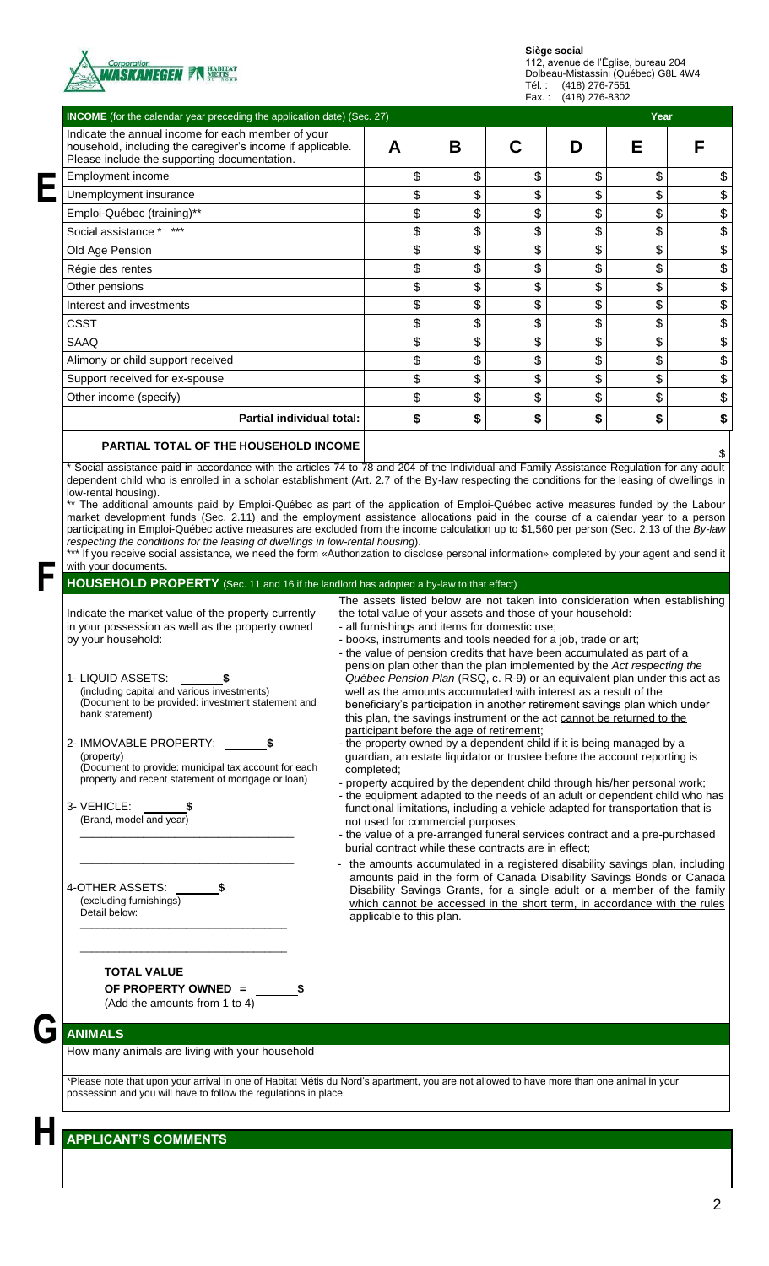

Tél. : (418) 276-7551

| <b>INCOME</b> (for the calendar year preceding the application date) (Sec. 27)                                                                                                                                                                                                                                                                                                                                                                                                                                                                                                                                                             |                                                                                                                                                                                                                                                                                                                                                                                                                                                                                                                                                                                                                                                                                                                                                                                                                                                                                                                                                                                                                                                                                                                                                                        |    |    |    | Year |   |
|--------------------------------------------------------------------------------------------------------------------------------------------------------------------------------------------------------------------------------------------------------------------------------------------------------------------------------------------------------------------------------------------------------------------------------------------------------------------------------------------------------------------------------------------------------------------------------------------------------------------------------------------|------------------------------------------------------------------------------------------------------------------------------------------------------------------------------------------------------------------------------------------------------------------------------------------------------------------------------------------------------------------------------------------------------------------------------------------------------------------------------------------------------------------------------------------------------------------------------------------------------------------------------------------------------------------------------------------------------------------------------------------------------------------------------------------------------------------------------------------------------------------------------------------------------------------------------------------------------------------------------------------------------------------------------------------------------------------------------------------------------------------------------------------------------------------------|----|----|----|------|---|
| Indicate the annual income for each member of your<br>household, including the caregiver's income if applicable.<br>Please include the supporting documentation.                                                                                                                                                                                                                                                                                                                                                                                                                                                                           | A                                                                                                                                                                                                                                                                                                                                                                                                                                                                                                                                                                                                                                                                                                                                                                                                                                                                                                                                                                                                                                                                                                                                                                      | B  | C  | D  | Е    | F |
| Employment income                                                                                                                                                                                                                                                                                                                                                                                                                                                                                                                                                                                                                          | \$                                                                                                                                                                                                                                                                                                                                                                                                                                                                                                                                                                                                                                                                                                                                                                                                                                                                                                                                                                                                                                                                                                                                                                     | \$ | \$ | \$ | \$   |   |
| Unemployment insurance                                                                                                                                                                                                                                                                                                                                                                                                                                                                                                                                                                                                                     | \$                                                                                                                                                                                                                                                                                                                                                                                                                                                                                                                                                                                                                                                                                                                                                                                                                                                                                                                                                                                                                                                                                                                                                                     | \$ | \$ | \$ | \$   |   |
| Emploi-Québec (training)**                                                                                                                                                                                                                                                                                                                                                                                                                                                                                                                                                                                                                 | \$                                                                                                                                                                                                                                                                                                                                                                                                                                                                                                                                                                                                                                                                                                                                                                                                                                                                                                                                                                                                                                                                                                                                                                     | \$ | \$ | \$ | \$   |   |
| Social assistance *                                                                                                                                                                                                                                                                                                                                                                                                                                                                                                                                                                                                                        | \$                                                                                                                                                                                                                                                                                                                                                                                                                                                                                                                                                                                                                                                                                                                                                                                                                                                                                                                                                                                                                                                                                                                                                                     | \$ | \$ | \$ | \$   |   |
| Old Age Pension                                                                                                                                                                                                                                                                                                                                                                                                                                                                                                                                                                                                                            | \$                                                                                                                                                                                                                                                                                                                                                                                                                                                                                                                                                                                                                                                                                                                                                                                                                                                                                                                                                                                                                                                                                                                                                                     | \$ | \$ | \$ | \$   |   |
| Régie des rentes                                                                                                                                                                                                                                                                                                                                                                                                                                                                                                                                                                                                                           | \$                                                                                                                                                                                                                                                                                                                                                                                                                                                                                                                                                                                                                                                                                                                                                                                                                                                                                                                                                                                                                                                                                                                                                                     | \$ | \$ | \$ | \$   |   |
| Other pensions                                                                                                                                                                                                                                                                                                                                                                                                                                                                                                                                                                                                                             | \$                                                                                                                                                                                                                                                                                                                                                                                                                                                                                                                                                                                                                                                                                                                                                                                                                                                                                                                                                                                                                                                                                                                                                                     | \$ | \$ | \$ | \$   |   |
| Interest and investments                                                                                                                                                                                                                                                                                                                                                                                                                                                                                                                                                                                                                   | \$                                                                                                                                                                                                                                                                                                                                                                                                                                                                                                                                                                                                                                                                                                                                                                                                                                                                                                                                                                                                                                                                                                                                                                     | \$ | \$ | \$ | \$   |   |
| <b>CSST</b>                                                                                                                                                                                                                                                                                                                                                                                                                                                                                                                                                                                                                                | \$                                                                                                                                                                                                                                                                                                                                                                                                                                                                                                                                                                                                                                                                                                                                                                                                                                                                                                                                                                                                                                                                                                                                                                     | \$ | \$ | \$ | \$   |   |
| SAAQ                                                                                                                                                                                                                                                                                                                                                                                                                                                                                                                                                                                                                                       | \$                                                                                                                                                                                                                                                                                                                                                                                                                                                                                                                                                                                                                                                                                                                                                                                                                                                                                                                                                                                                                                                                                                                                                                     | \$ | \$ | \$ | \$   |   |
| Alimony or child support received                                                                                                                                                                                                                                                                                                                                                                                                                                                                                                                                                                                                          | \$                                                                                                                                                                                                                                                                                                                                                                                                                                                                                                                                                                                                                                                                                                                                                                                                                                                                                                                                                                                                                                                                                                                                                                     | \$ | \$ | \$ | \$   |   |
| Support received for ex-spouse                                                                                                                                                                                                                                                                                                                                                                                                                                                                                                                                                                                                             | \$                                                                                                                                                                                                                                                                                                                                                                                                                                                                                                                                                                                                                                                                                                                                                                                                                                                                                                                                                                                                                                                                                                                                                                     | \$ | \$ | \$ | \$   |   |
| Other income (specify)                                                                                                                                                                                                                                                                                                                                                                                                                                                                                                                                                                                                                     | \$                                                                                                                                                                                                                                                                                                                                                                                                                                                                                                                                                                                                                                                                                                                                                                                                                                                                                                                                                                                                                                                                                                                                                                     | \$ | \$ | \$ | \$   |   |
| Partial individual total:                                                                                                                                                                                                                                                                                                                                                                                                                                                                                                                                                                                                                  | \$                                                                                                                                                                                                                                                                                                                                                                                                                                                                                                                                                                                                                                                                                                                                                                                                                                                                                                                                                                                                                                                                                                                                                                     | \$ | \$ | \$ | \$   |   |
|                                                                                                                                                                                                                                                                                                                                                                                                                                                                                                                                                                                                                                            |                                                                                                                                                                                                                                                                                                                                                                                                                                                                                                                                                                                                                                                                                                                                                                                                                                                                                                                                                                                                                                                                                                                                                                        |    |    |    |      |   |
| <b>PARTIAL TOTAL OF THE HOUSEHOLD INCOME</b><br>* Social assistance paid in accordance with the articles 74 to 78 and 204 of the Individual and Family Assistance Regulation for any adult<br>dependent child who is enrolled in a scholar establishment (Art. 2.7 of the By-law respecting the conditions for the leasing of dwellings in<br>low-rental housing).<br>** The additional amounts paid by Emploi-Québec as part of the application of Emploi-Québec active measures funded by the Labour<br>market development funds (Sec. 2.11) and the employment assistance allocations paid in the course of a calendar year to a person |                                                                                                                                                                                                                                                                                                                                                                                                                                                                                                                                                                                                                                                                                                                                                                                                                                                                                                                                                                                                                                                                                                                                                                        |    |    |    |      |   |
| participating in Emploi-Québec active measures are excluded from the income calculation up to \$1,560 per person (Sec. 2.13 of the By-law<br>respecting the conditions for the leasing of dwellings in low-rental housing).<br>*** If you receive social assistance, we need the form «Authorization to disclose personal information» completed by your agent and send it<br>with your documents.                                                                                                                                                                                                                                         |                                                                                                                                                                                                                                                                                                                                                                                                                                                                                                                                                                                                                                                                                                                                                                                                                                                                                                                                                                                                                                                                                                                                                                        |    |    |    |      |   |
| HOUSEHOLD PROPERTY (Sec. 11 and 16 if the landlord has adopted a by-law to that effect)                                                                                                                                                                                                                                                                                                                                                                                                                                                                                                                                                    | The assets listed below are not taken into consideration when establishing                                                                                                                                                                                                                                                                                                                                                                                                                                                                                                                                                                                                                                                                                                                                                                                                                                                                                                                                                                                                                                                                                             |    |    |    |      |   |
| by your household:<br>1- LIQUID ASSETS:<br>(including capital and various investments)<br>(Document to be provided: investment statement and<br>bank statement)<br>2- IMMOVABLE PROPERTY: _<br>(property)<br>(Document to provide: municipal tax account for each<br>property and recent statement of mortgage or loan)<br>3- VEHICLE: \$<br>(Brand, model and year)                                                                                                                                                                                                                                                                       | - books, instruments and tools needed for a job, trade or art;<br>- the value of pension credits that have been accumulated as part of a<br>pension plan other than the plan implemented by the Act respecting the<br>Québec Pension Plan (RSQ, c. R-9) or an equivalent plan under this act as<br>well as the amounts accumulated with interest as a result of the<br>beneficiary's participation in another retirement savings plan which under<br>this plan, the savings instrument or the act cannot be returned to the<br>participant before the age of retirement;<br>- the property owned by a dependent child if it is being managed by a<br>guardian, an estate liquidator or trustee before the account reporting is<br>completed;<br>- property acquired by the dependent child through his/her personal work;<br>- the equipment adapted to the needs of an adult or dependent child who has<br>functional limitations, including a vehicle adapted for transportation that is<br>not used for commercial purposes;<br>- the value of a pre-arranged funeral services contract and a pre-purchased<br>burial contract while these contracts are in effect; |    |    |    |      |   |
| 4-OTHER ASSETS:<br>(excluding furnishings)<br>Detail below:                                                                                                                                                                                                                                                                                                                                                                                                                                                                                                                                                                                | - the amounts accumulated in a registered disability savings plan, including<br>amounts paid in the form of Canada Disability Savings Bonds or Canada<br>Disability Savings Grants, for a single adult or a member of the family<br>which cannot be accessed in the short term, in accordance with the rules<br>applicable to this plan.                                                                                                                                                                                                                                                                                                                                                                                                                                                                                                                                                                                                                                                                                                                                                                                                                               |    |    |    |      |   |
| <b>TOTAL VALUE</b><br>OF PROPERTY OWNED =<br>(Add the amounts from 1 to 4)                                                                                                                                                                                                                                                                                                                                                                                                                                                                                                                                                                 |                                                                                                                                                                                                                                                                                                                                                                                                                                                                                                                                                                                                                                                                                                                                                                                                                                                                                                                                                                                                                                                                                                                                                                        |    |    |    |      |   |
|                                                                                                                                                                                                                                                                                                                                                                                                                                                                                                                                                                                                                                            |                                                                                                                                                                                                                                                                                                                                                                                                                                                                                                                                                                                                                                                                                                                                                                                                                                                                                                                                                                                                                                                                                                                                                                        |    |    |    |      |   |
| <b>ANIMALS</b>                                                                                                                                                                                                                                                                                                                                                                                                                                                                                                                                                                                                                             |                                                                                                                                                                                                                                                                                                                                                                                                                                                                                                                                                                                                                                                                                                                                                                                                                                                                                                                                                                                                                                                                                                                                                                        |    |    |    |      |   |
| How many animals are living with your household<br>*Please note that upon your arrival in one of Habitat Métis du Nord's apartment, you are not allowed to have more than one animal in your<br>possession and you will have to follow the regulations in place.                                                                                                                                                                                                                                                                                                                                                                           |                                                                                                                                                                                                                                                                                                                                                                                                                                                                                                                                                                                                                                                                                                                                                                                                                                                                                                                                                                                                                                                                                                                                                                        |    |    |    |      |   |
|                                                                                                                                                                                                                                                                                                                                                                                                                                                                                                                                                                                                                                            |                                                                                                                                                                                                                                                                                                                                                                                                                                                                                                                                                                                                                                                                                                                                                                                                                                                                                                                                                                                                                                                                                                                                                                        |    |    |    |      |   |
| <b>APPLICANT'S COMMENTS</b>                                                                                                                                                                                                                                                                                                                                                                                                                                                                                                                                                                                                                |                                                                                                                                                                                                                                                                                                                                                                                                                                                                                                                                                                                                                                                                                                                                                                                                                                                                                                                                                                                                                                                                                                                                                                        |    |    |    |      |   |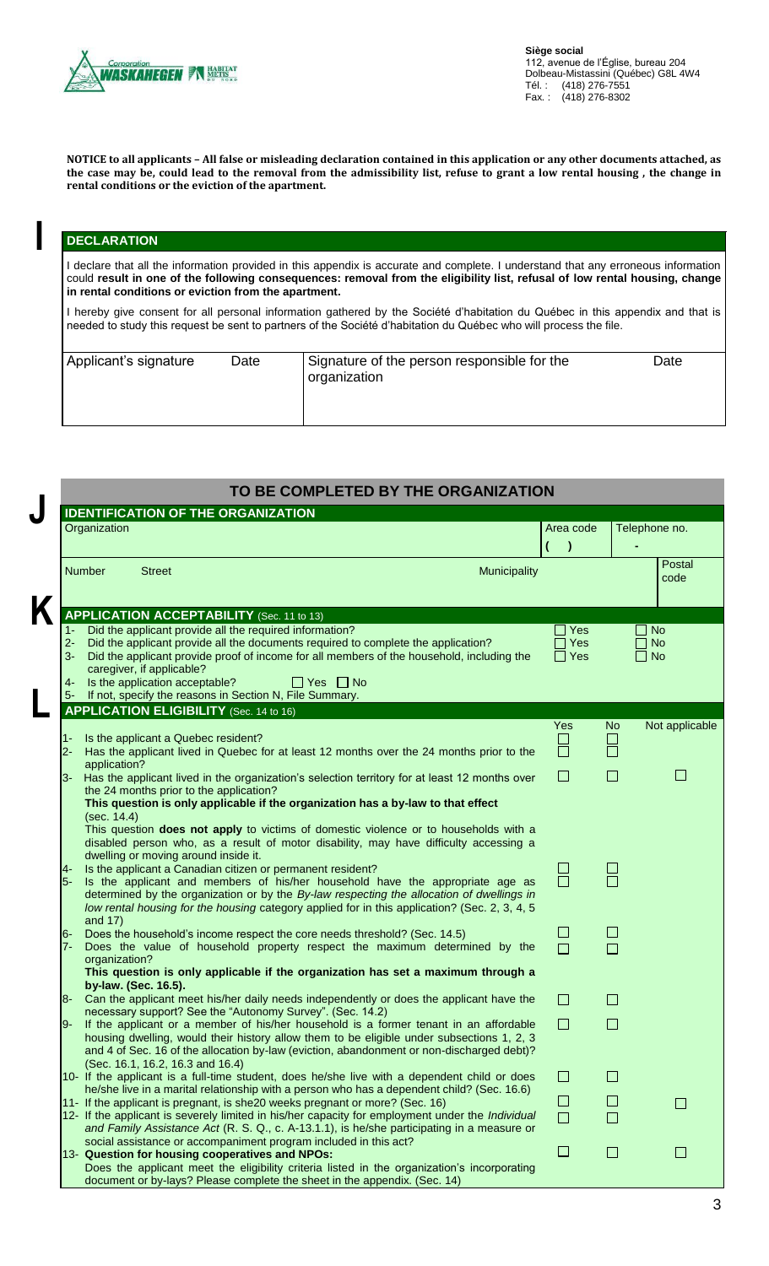

**NOTICE to all applicants – All false or misleading declaration contained in this application or any other documents attached, as the case may be, could lead to the removal from the admissibility list, refuse to grant a low rental housing , the change in rental conditions or the eviction of the apartment.**

## **DECLARATION**

**I**

I declare that all the information provided in this appendix is accurate and complete. I understand that any erroneous information could **result in one of the following consequences: removal from the eligibility list, refusal of low rental housing, change in rental conditions or eviction from the apartment.**

I hereby give consent for all personal information gathered by the Société d'habitation du Québec in this appendix and that is needed to study this request be sent to partners of the Société d'habitation du Québec who will process the file.

| Applicant's signature<br>Date | Signature of the person responsible for the<br>organization | Date |
|-------------------------------|-------------------------------------------------------------|------|
|-------------------------------|-------------------------------------------------------------|------|

|                       | Organization                                                                                                                                                                                                                                                                                                        | Area code<br>$\lambda$             |                  | Telephone no.                       |
|-----------------------|---------------------------------------------------------------------------------------------------------------------------------------------------------------------------------------------------------------------------------------------------------------------------------------------------------------------|------------------------------------|------------------|-------------------------------------|
|                       | <b>Number</b><br><b>Street</b><br>Municipality                                                                                                                                                                                                                                                                      |                                    |                  | Postal<br>code                      |
|                       | <b>APPLICATION ACCEPTABILITY</b> (Sec. 11 to 13)                                                                                                                                                                                                                                                                    |                                    |                  |                                     |
| 1- 1<br>$2 -$<br>$3-$ | Did the applicant provide all the required information?<br>Did the applicant provide all the documents required to complete the application?<br>Did the applicant provide proof of income for all members of the household, including the<br>caregiver, if applicable?                                              | Yes<br>$\exists$ Yes<br>$\Box$ Yes |                  | <b>No</b><br><b>No</b><br>$\Box$ No |
| 4-                    | Is the application acceptable?<br>$\Box$ Yes $\Box$ No<br>5- If not, specify the reasons in Section N, File Summary.                                                                                                                                                                                                |                                    |                  |                                     |
|                       | <b>APPLICATION ELIGIBILITY</b> (Sec. 14 to 16)                                                                                                                                                                                                                                                                      |                                    |                  |                                     |
| $2 -$                 | Is the applicant a Quebec resident?<br>Has the applicant lived in Quebec for at least 12 months over the 24 months prior to the<br>application?                                                                                                                                                                     | Yes<br>ப<br>П                      | No.<br>$\Box$    | Not applicable                      |
|                       | 3- Has the applicant lived in the organization's selection territory for at least 12 months over<br>the 24 months prior to the application?<br>This question is only applicable if the organization has a by-law to that effect<br>(sec. 14.4)                                                                      | $\Box$                             | $\Box$           | $\mathsf{L}$                        |
| 4-                    | This question does not apply to victims of domestic violence or to households with a<br>disabled person who, as a result of motor disability, may have difficulty accessing a<br>dwelling or moving around inside it.<br>Is the applicant a Canadian citizen or permanent resident?                                 | 무<br>-                             |                  |                                     |
| 5-                    | Is the applicant and members of his/her household have the appropriate age as<br>determined by the organization or by the By-law respecting the allocation of dwellings in<br>low rental housing for the housing category applied for in this application? (Sec. 2, 3, 4, 5)<br>and 17)                             |                                    |                  |                                     |
| 6-<br>$7-$            | Does the household's income respect the core needs threshold? (Sec. 14.5)<br>Does the value of household property respect the maximum determined by the<br>organization?<br>This question is only applicable if the organization has set a maximum through a                                                        | $\Box$<br>$\Box$                   | $\Box$<br>$\Box$ |                                     |
| 8-                    | by-law. (Sec. 16.5).<br>Can the applicant meet his/her daily needs independently or does the applicant have the                                                                                                                                                                                                     | $\Box$                             | $\Box$           |                                     |
|                       | necessary support? See the "Autonomy Survey". (Sec. 14.2)                                                                                                                                                                                                                                                           |                                    |                  |                                     |
| l9-                   | If the applicant or a member of his/her household is a former tenant in an affordable<br>housing dwelling, would their history allow them to be eligible under subsections 1, 2, 3<br>and 4 of Sec. 16 of the allocation by-law (eviction, abandonment or non-discharged debt)?<br>(Sec. 16.1, 16.2, 16.3 and 16.4) | $\Box$                             | L.               |                                     |
|                       | 10- If the applicant is a full-time student, does he/she live with a dependent child or does<br>he/she live in a marital relationship with a person who has a dependent child? (Sec. 16.6)                                                                                                                          | $\Box$                             | $\Box$           |                                     |
|                       | 11- If the applicant is pregnant, is she20 weeks pregnant or more? (Sec. 16)<br>12- If the applicant is severely limited in his/her capacity for employment under the Individual<br>and Family Assistance Act (R. S. Q., c. A-13.1.1), is he/she participating in a measure or                                      | $\Box$<br>$\Box$                   | $\Box$<br>П      | $\mathsf{L}$                        |
|                       | social assistance or accompaniment program included in this act?<br>13- Question for housing cooperatives and NPOs:<br>Does the applicant meet the eligibility criteria listed in the organization's incorporating                                                                                                  | $\Box$                             | $\Box$           | $\mathbf{I}$                        |